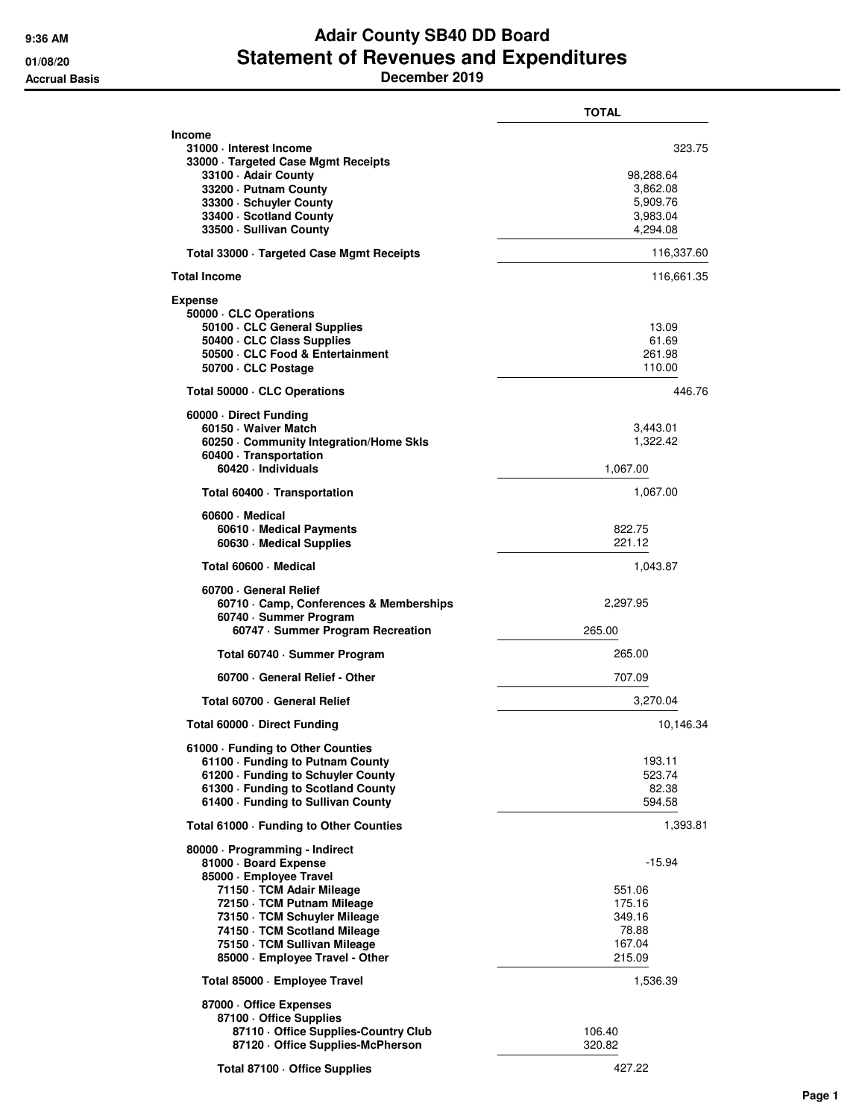## **9:36 AM Adair County SB40 DD Board 01/08/20 Statement of Revenues and Expenditures Accrual Basis December 2019**

|                                                                                                                                                                                          | <b>TOTAL</b>                                            |
|------------------------------------------------------------------------------------------------------------------------------------------------------------------------------------------|---------------------------------------------------------|
| Income<br>31000 · Interest Income<br>33000 · Targeted Case Mgmt Receipts                                                                                                                 | 323.75                                                  |
| 33100 - Adair County<br>33200 - Putnam County<br>33300 · Schuyler County                                                                                                                 | 98,288.64<br>3,862.08<br>5,909.76                       |
| 33400 · Scotland County<br>33500 - Sullivan County                                                                                                                                       | 3,983.04<br>4,294.08                                    |
| Total 33000 · Targeted Case Mgmt Receipts                                                                                                                                                | 116,337.60                                              |
| Total Income                                                                                                                                                                             | 116,661.35                                              |
| Expense<br>50000 CLC Operations<br>50100 · CLC General Supplies<br>50400 CLC Class Supplies<br>50500 · CLC Food & Entertainment<br>50700 · CLC Postage                                   | 13.09<br>61.69<br>261.98<br>110.00                      |
| Total 50000 CLC Operations                                                                                                                                                               | 446.76                                                  |
| 60000 Direct Funding                                                                                                                                                                     |                                                         |
| 60150 · Waiver Match<br>60250 Community Integration/Home Skls<br>60400 · Transportation                                                                                                  | 3,443.01<br>1,322.42                                    |
| 60420 · Individuals                                                                                                                                                                      | 1,067.00                                                |
| Total 60400 · Transportation                                                                                                                                                             | 1,067.00                                                |
| 60600 Medical<br>60610 · Medical Payments<br>60630 · Medical Supplies                                                                                                                    | 822.75<br>221.12                                        |
| Total 60600 Medical                                                                                                                                                                      | 1,043.87                                                |
| 60700 General Relief<br>60710 Camp, Conferences & Memberships<br>60740 · Summer Program<br>60747 · Summer Program Recreation                                                             | 2,297.95<br>265.00                                      |
| Total 60740 · Summer Program                                                                                                                                                             | 265.00                                                  |
| 60700 General Relief - Other                                                                                                                                                             | 707.09                                                  |
| Total 60700 · General Relief                                                                                                                                                             | 3,270.04                                                |
| Total 60000 Direct Funding                                                                                                                                                               | 10,146.34                                               |
| 61000 - Funding to Other Counties                                                                                                                                                        |                                                         |
| 61100 - Funding to Putnam County<br>61200 · Funding to Schuyler County<br>61300 · Funding to Scotland County<br>61400 · Funding to Sullivan County                                       | 193.11<br>523.74<br>82.38<br>594.58                     |
| Total 61000 - Funding to Other Counties                                                                                                                                                  | 1,393.81                                                |
| 80000 · Programming - Indirect<br>81000 · Board Expense<br>85000 · Employee Travel                                                                                                       | $-15.94$                                                |
| 71150 · TCM Adair Mileage<br>72150 · TCM Putnam Mileage<br>73150 · TCM Schuyler Mileage<br>74150 TCM Scotland Mileage<br>75150 · TCM Sullivan Mileage<br>85000 · Employee Travel - Other | 551.06<br>175.16<br>349.16<br>78.88<br>167.04<br>215.09 |
| Total 85000 - Employee Travel                                                                                                                                                            | 1,536.39                                                |
| 87000 Office Expenses<br>87100 Office Supplies<br>87110 Office Supplies-Country Club<br>87120 Office Supplies-McPherson                                                                  | 106.40<br>320.82                                        |
| Total 87100 · Office Supplies                                                                                                                                                            | 427.22                                                  |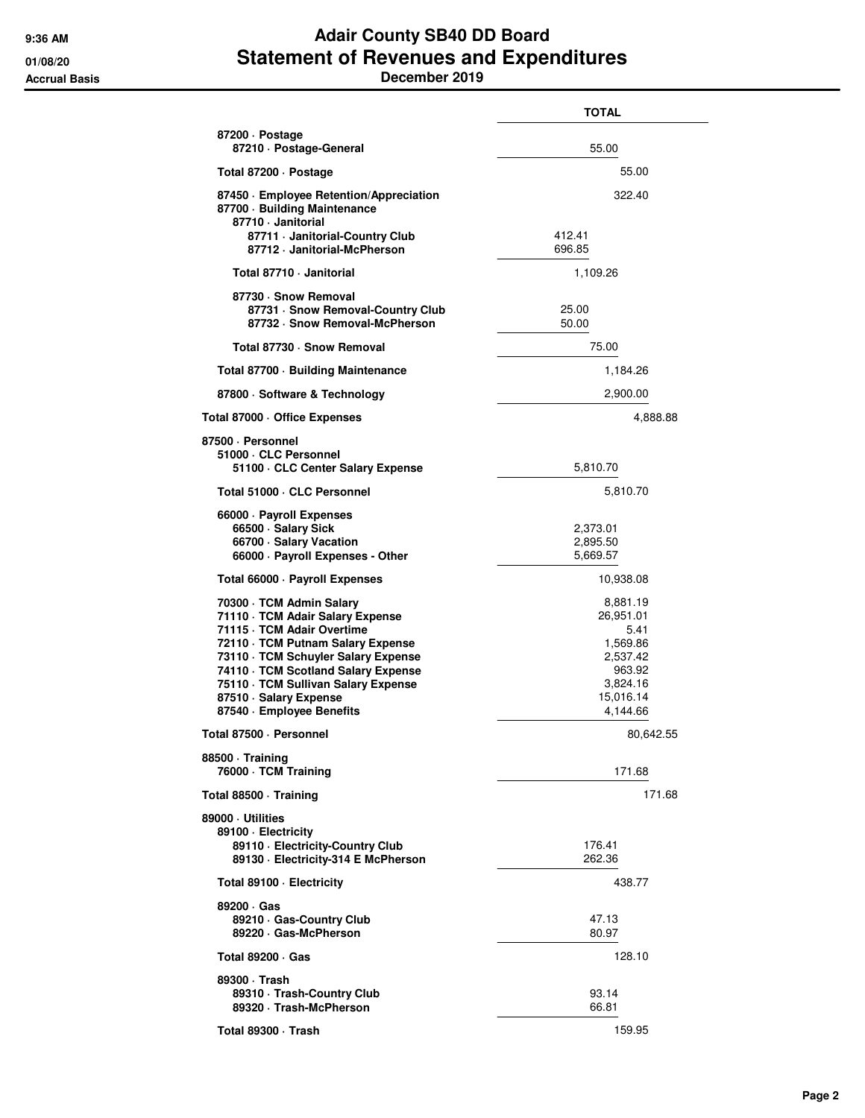## **9:36 AM Adair County SB40 DD Board 01/08/20 Statement of Revenues and Expenditures Accrual Basis December 2019**

|                                                                                                                                                                                                                                                                                                             | TOTAL                                                                                                |
|-------------------------------------------------------------------------------------------------------------------------------------------------------------------------------------------------------------------------------------------------------------------------------------------------------------|------------------------------------------------------------------------------------------------------|
| 87200 · Postage<br>87210 · Postage-General                                                                                                                                                                                                                                                                  | 55.00                                                                                                |
| Total 87200 · Postage                                                                                                                                                                                                                                                                                       | 55.00                                                                                                |
| 87450 · Employee Retention/Appreciation<br>87700 · Building Maintenance<br>87710 · Janitorial                                                                                                                                                                                                               | 322.40                                                                                               |
| 87711 · Janitorial-Country Club<br>87712 · Janitorial-McPherson                                                                                                                                                                                                                                             | 412.41<br>696.85                                                                                     |
| Total 87710 · Janitorial                                                                                                                                                                                                                                                                                    | 1,109.26                                                                                             |
| 87730 · Snow Removal<br>87731 · Snow Removal-Country Club<br>87732 · Snow Removal-McPherson                                                                                                                                                                                                                 | 25.00<br>50.00                                                                                       |
| Total 87730 · Snow Removal                                                                                                                                                                                                                                                                                  | 75.00                                                                                                |
| Total 87700 Building Maintenance                                                                                                                                                                                                                                                                            | 1,184.26                                                                                             |
| 87800 · Software & Technology                                                                                                                                                                                                                                                                               | 2,900.00                                                                                             |
| Total 87000 · Office Expenses                                                                                                                                                                                                                                                                               | 4,888.88                                                                                             |
| 87500 · Personnel                                                                                                                                                                                                                                                                                           |                                                                                                      |
| 51000 · CLC Personnel<br>51100 · CLC Center Salary Expense                                                                                                                                                                                                                                                  | 5,810.70                                                                                             |
| Total 51000 · CLC Personnel                                                                                                                                                                                                                                                                                 | 5,810.70                                                                                             |
| 66000 · Payroll Expenses<br>66500 · Salary Sick<br>66700 · Salary Vacation<br>66000 · Payroll Expenses - Other                                                                                                                                                                                              | 2,373.01<br>2,895.50<br>5,669.57                                                                     |
| Total 66000 · Payroll Expenses                                                                                                                                                                                                                                                                              | 10,938.08                                                                                            |
| 70300 · TCM Admin Salary<br>71110 · TCM Adair Salary Expense<br>71115 · TCM Adair Overtime<br>72110 · TCM Putnam Salary Expense<br>73110 · TCM Schuyler Salary Expense<br>74110 · TCM Scotland Salary Expense<br>75110 · TCM Sullivan Salary Expense<br>87510 · Salary Expense<br>87540 - Employee Benefits | 8,881.19<br>26,951.01<br>5.41<br>1,569.86<br>2,537.42<br>963.92<br>3,824.16<br>15,016.14<br>4,144.66 |
| Total 87500 · Personnel                                                                                                                                                                                                                                                                                     | 80,642.55                                                                                            |
| 88500 · Training<br>76000 · TCM Training                                                                                                                                                                                                                                                                    | 171.68                                                                                               |
| Total 88500 · Training                                                                                                                                                                                                                                                                                      | 171.68                                                                                               |
| 89000 · Utilities<br>89100 · Electricity<br>89110 · Electricity-Country Club<br>89130 - Electricity-314 E McPherson                                                                                                                                                                                         | 176.41<br>262.36                                                                                     |
| Total 89100 - Electricity                                                                                                                                                                                                                                                                                   | 438.77                                                                                               |
| 89200 · Gas<br>89210 Gas-Country Club<br>89220 Gas-McPherson                                                                                                                                                                                                                                                | 47.13<br>80.97                                                                                       |
| Total 89200 · Gas                                                                                                                                                                                                                                                                                           | 128.10                                                                                               |
| 89300 · Trash<br>89310 · Trash-Country Club<br>89320 · Trash-McPherson                                                                                                                                                                                                                                      | 93.14<br>66.81                                                                                       |
| Total 89300 · Trash                                                                                                                                                                                                                                                                                         | 159.95                                                                                               |